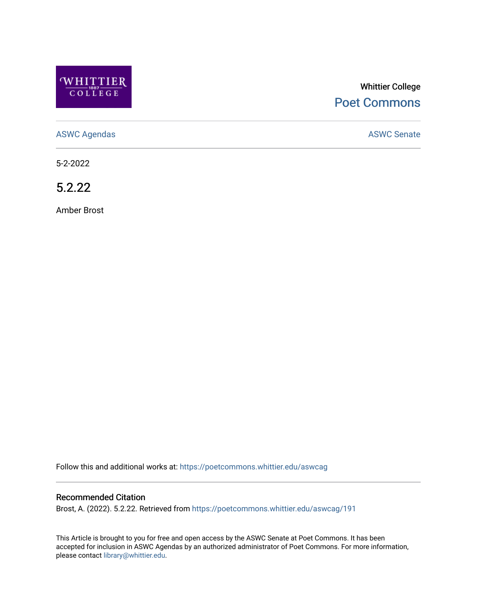

# Whittier College [Poet Commons](https://poetcommons.whittier.edu/)

[ASWC Agendas](https://poetcommons.whittier.edu/aswcag) **ASWC Senate** 

5-2-2022

5.2.22

Amber Brost

Follow this and additional works at: [https://poetcommons.whittier.edu/aswcag](https://poetcommons.whittier.edu/aswcag?utm_source=poetcommons.whittier.edu%2Faswcag%2F191&utm_medium=PDF&utm_campaign=PDFCoverPages) 

## Recommended Citation

Brost, A. (2022). 5.2.22. Retrieved from [https://poetcommons.whittier.edu/aswcag/191](https://poetcommons.whittier.edu/aswcag/191?utm_source=poetcommons.whittier.edu%2Faswcag%2F191&utm_medium=PDF&utm_campaign=PDFCoverPages)

This Article is brought to you for free and open access by the ASWC Senate at Poet Commons. It has been accepted for inclusion in ASWC Agendas by an authorized administrator of Poet Commons. For more information, please contact [library@whittier.edu](mailto:library@whittier.edu).